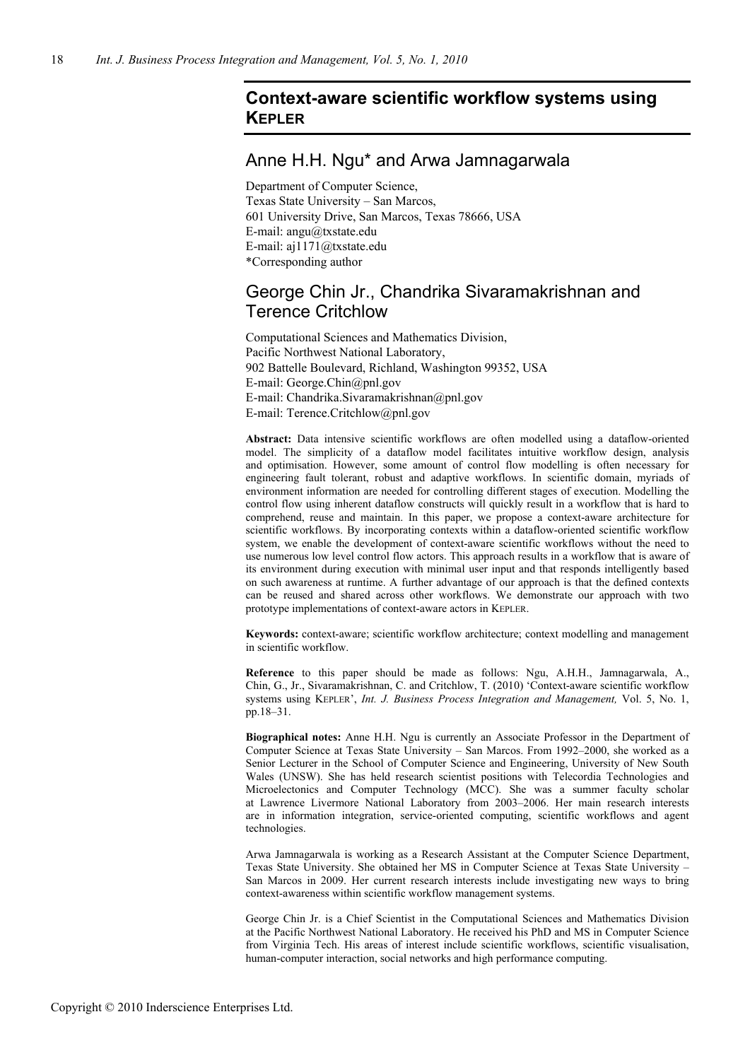# **Context-aware scientific workflow systems using KEPLER**

# Anne H.H. Ngu\* and Arwa Jamnagarwala

Department of Computer Science, Texas State University – San Marcos, 601 University Drive, San Marcos, Texas 78666, USA E-mail: angu@txstate.edu E-mail: aj1171@txstate.edu \*Corresponding author

# George Chin Jr., Chandrika Sivaramakrishnan and Terence Critchlow

Computational Sciences and Mathematics Division, Pacific Northwest National Laboratory, 902 Battelle Boulevard, Richland, Washington 99352, USA E-mail: George.Chin@pnl.gov E-mail: Chandrika.Sivaramakrishnan@pnl.gov E-mail: Terence.Critchlow@pnl.gov

**Abstract:** Data intensive scientific workflows are often modelled using a dataflow-oriented model. The simplicity of a dataflow model facilitates intuitive workflow design, analysis and optimisation. However, some amount of control flow modelling is often necessary for engineering fault tolerant, robust and adaptive workflows. In scientific domain, myriads of environment information are needed for controlling different stages of execution. Modelling the control flow using inherent dataflow constructs will quickly result in a workflow that is hard to comprehend, reuse and maintain. In this paper, we propose a context-aware architecture for scientific workflows. By incorporating contexts within a dataflow-oriented scientific workflow system, we enable the development of context-aware scientific workflows without the need to use numerous low level control flow actors. This approach results in a workflow that is aware of its environment during execution with minimal user input and that responds intelligently based on such awareness at runtime. A further advantage of our approach is that the defined contexts can be reused and shared across other workflows. We demonstrate our approach with two prototype implementations of context-aware actors in KEPLER.

**Keywords:** context-aware; scientific workflow architecture; context modelling and management in scientific workflow.

**Reference** to this paper should be made as follows: Ngu, A.H.H., Jamnagarwala, A., Chin, G., Jr., Sivaramakrishnan, C. and Critchlow, T. (2010) 'Context-aware scientific workflow systems using KEPLER', *Int. J. Business Process Integration and Management,* Vol. 5, No. 1, pp.18–31.

**Biographical notes:** Anne H.H. Ngu is currently an Associate Professor in the Department of Computer Science at Texas State University – San Marcos. From 1992–2000, she worked as a Senior Lecturer in the School of Computer Science and Engineering, University of New South Wales (UNSW). She has held research scientist positions with Telecordia Technologies and Microelectonics and Computer Technology (MCC). She was a summer faculty scholar at Lawrence Livermore National Laboratory from 2003–2006. Her main research interests are in information integration, service-oriented computing, scientific workflows and agent technologies.

Arwa Jamnagarwala is working as a Research Assistant at the Computer Science Department, Texas State University. She obtained her MS in Computer Science at Texas State University – San Marcos in 2009. Her current research interests include investigating new ways to bring context-awareness within scientific workflow management systems.

George Chin Jr. is a Chief Scientist in the Computational Sciences and Mathematics Division at the Pacific Northwest National Laboratory. He received his PhD and MS in Computer Science from Virginia Tech. His areas of interest include scientific workflows, scientific visualisation, human-computer interaction, social networks and high performance computing.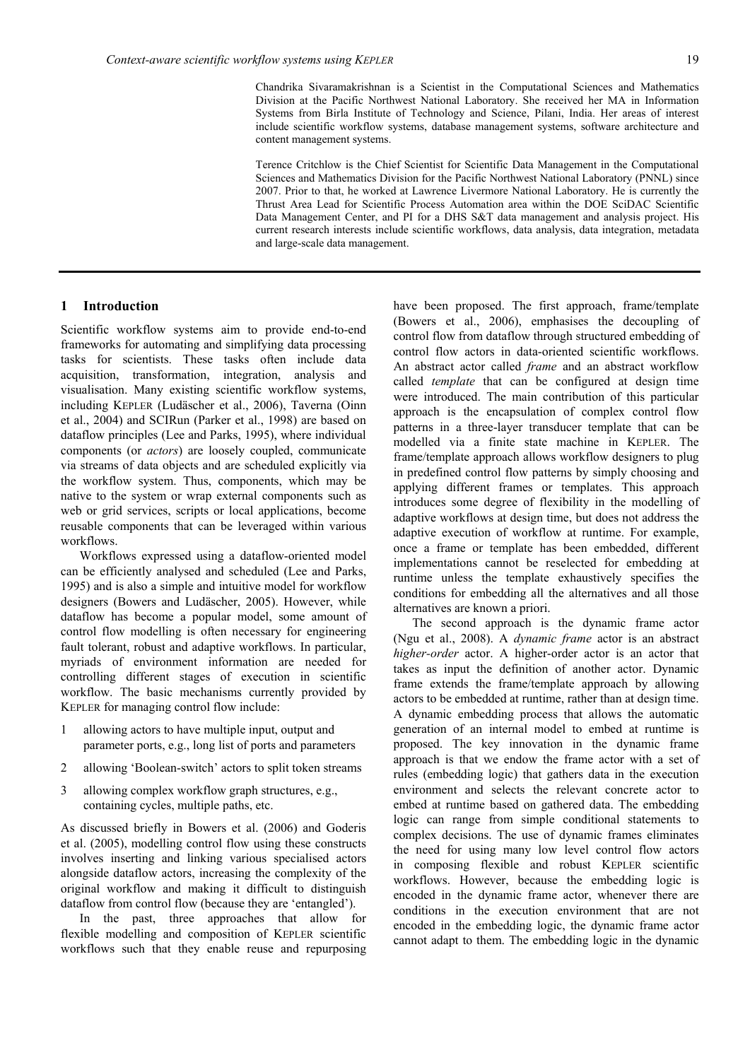Chandrika Sivaramakrishnan is a Scientist in the Computational Sciences and Mathematics Division at the Pacific Northwest National Laboratory. She received her MA in Information Systems from Birla Institute of Technology and Science, Pilani, India. Her areas of interest include scientific workflow systems, database management systems, software architecture and content management systems.

Terence Critchlow is the Chief Scientist for Scientific Data Management in the Computational Sciences and Mathematics Division for the Pacific Northwest National Laboratory (PNNL) since 2007. Prior to that, he worked at Lawrence Livermore National Laboratory. He is currently the Thrust Area Lead for Scientific Process Automation area within the DOE SciDAC Scientific Data Management Center, and PI for a DHS S&T data management and analysis project. His current research interests include scientific workflows, data analysis, data integration, metadata and large-scale data management.

## **1 Introduction**

Scientific workflow systems aim to provide end-to-end frameworks for automating and simplifying data processing tasks for scientists. These tasks often include data acquisition, transformation, integration, analysis and visualisation. Many existing scientific workflow systems, including KEPLER (Ludäscher et al., 2006), Taverna (Oinn et al., 2004) and SCIRun (Parker et al., 1998) are based on dataflow principles (Lee and Parks, 1995), where individual components (or *actors*) are loosely coupled, communicate via streams of data objects and are scheduled explicitly via the workflow system. Thus, components, which may be native to the system or wrap external components such as web or grid services, scripts or local applications, become reusable components that can be leveraged within various workflows.

Workflows expressed using a dataflow-oriented model can be efficiently analysed and scheduled (Lee and Parks, 1995) and is also a simple and intuitive model for workflow designers (Bowers and Ludäscher, 2005). However, while dataflow has become a popular model, some amount of control flow modelling is often necessary for engineering fault tolerant, robust and adaptive workflows. In particular, myriads of environment information are needed for controlling different stages of execution in scientific workflow. The basic mechanisms currently provided by KEPLER for managing control flow include:

- 1 allowing actors to have multiple input, output and parameter ports, e.g., long list of ports and parameters
- 2 allowing 'Boolean-switch' actors to split token streams
- 3 allowing complex workflow graph structures, e.g., containing cycles, multiple paths, etc.

As discussed briefly in Bowers et al. (2006) and Goderis et al. (2005), modelling control flow using these constructs involves inserting and linking various specialised actors alongside dataflow actors, increasing the complexity of the original workflow and making it difficult to distinguish dataflow from control flow (because they are 'entangled').

In the past, three approaches that allow for flexible modelling and composition of KEPLER scientific workflows such that they enable reuse and repurposing have been proposed. The first approach, frame/template (Bowers et al., 2006), emphasises the decoupling of control flow from dataflow through structured embedding of control flow actors in data-oriented scientific workflows. An abstract actor called *frame* and an abstract workflow called *template* that can be configured at design time were introduced. The main contribution of this particular approach is the encapsulation of complex control flow patterns in a three-layer transducer template that can be modelled via a finite state machine in KEPLER. The frame/template approach allows workflow designers to plug in predefined control flow patterns by simply choosing and applying different frames or templates. This approach introduces some degree of flexibility in the modelling of adaptive workflows at design time, but does not address the adaptive execution of workflow at runtime. For example, once a frame or template has been embedded, different implementations cannot be reselected for embedding at runtime unless the template exhaustively specifies the conditions for embedding all the alternatives and all those alternatives are known a priori.

The second approach is the dynamic frame actor (Ngu et al., 2008). A *dynamic frame* actor is an abstract *higher-order* actor. A higher-order actor is an actor that takes as input the definition of another actor. Dynamic frame extends the frame/template approach by allowing actors to be embedded at runtime, rather than at design time. A dynamic embedding process that allows the automatic generation of an internal model to embed at runtime is proposed. The key innovation in the dynamic frame approach is that we endow the frame actor with a set of rules (embedding logic) that gathers data in the execution environment and selects the relevant concrete actor to embed at runtime based on gathered data. The embedding logic can range from simple conditional statements to complex decisions. The use of dynamic frames eliminates the need for using many low level control flow actors in composing flexible and robust KEPLER scientific workflows. However, because the embedding logic is encoded in the dynamic frame actor, whenever there are conditions in the execution environment that are not encoded in the embedding logic, the dynamic frame actor cannot adapt to them. The embedding logic in the dynamic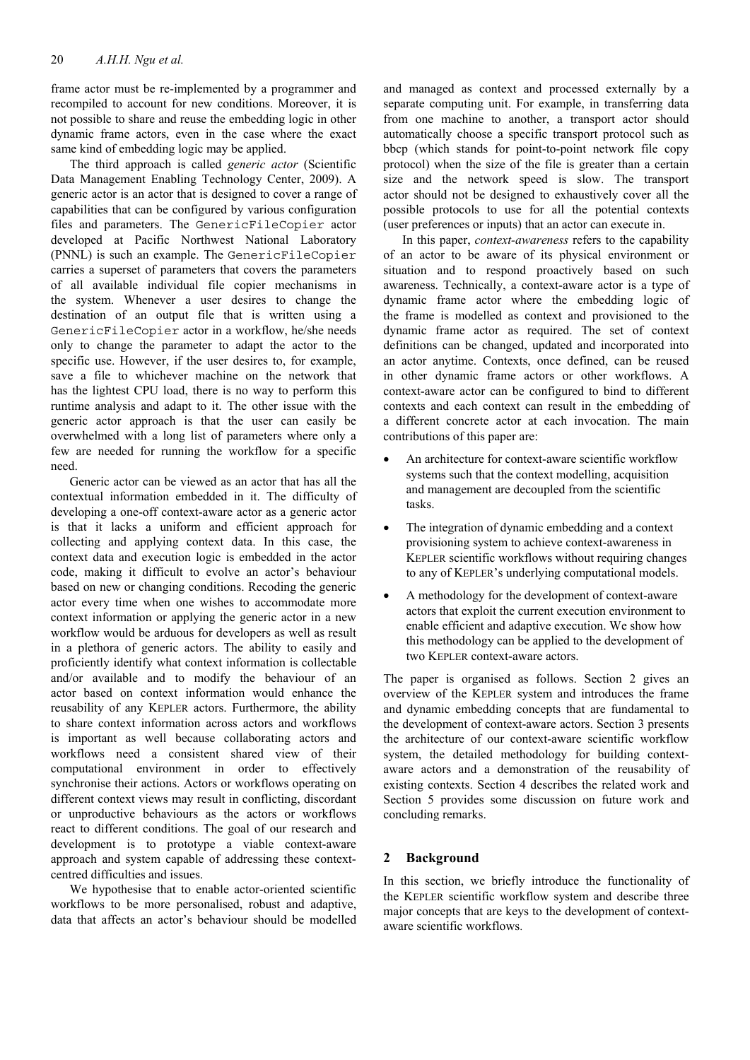frame actor must be re-implemented by a programmer and recompiled to account for new conditions. Moreover, it is not possible to share and reuse the embedding logic in other dynamic frame actors, even in the case where the exact same kind of embedding logic may be applied.

The third approach is called *generic actor* (Scientific Data Management Enabling Technology Center, 2009). A generic actor is an actor that is designed to cover a range of capabilities that can be configured by various configuration files and parameters. The GenericFileCopier actor developed at Pacific Northwest National Laboratory (PNNL) is such an example. The GenericFileCopier carries a superset of parameters that covers the parameters of all available individual file copier mechanisms in the system. Whenever a user desires to change the destination of an output file that is written using a GenericFileCopier actor in a workflow, he/she needs only to change the parameter to adapt the actor to the specific use. However, if the user desires to, for example, save a file to whichever machine on the network that has the lightest CPU load, there is no way to perform this runtime analysis and adapt to it. The other issue with the generic actor approach is that the user can easily be overwhelmed with a long list of parameters where only a few are needed for running the workflow for a specific need.

Generic actor can be viewed as an actor that has all the contextual information embedded in it. The difficulty of developing a one-off context-aware actor as a generic actor is that it lacks a uniform and efficient approach for collecting and applying context data. In this case, the context data and execution logic is embedded in the actor code, making it difficult to evolve an actor's behaviour based on new or changing conditions. Recoding the generic actor every time when one wishes to accommodate more context information or applying the generic actor in a new workflow would be arduous for developers as well as result in a plethora of generic actors. The ability to easily and proficiently identify what context information is collectable and/or available and to modify the behaviour of an actor based on context information would enhance the reusability of any KEPLER actors. Furthermore, the ability to share context information across actors and workflows is important as well because collaborating actors and workflows need a consistent shared view of their computational environment in order to effectively synchronise their actions. Actors or workflows operating on different context views may result in conflicting, discordant or unproductive behaviours as the actors or workflows react to different conditions. The goal of our research and development is to prototype a viable context-aware approach and system capable of addressing these contextcentred difficulties and issues.

We hypothesise that to enable actor-oriented scientific workflows to be more personalised, robust and adaptive, data that affects an actor's behaviour should be modelled and managed as context and processed externally by a separate computing unit. For example, in transferring data from one machine to another, a transport actor should automatically choose a specific transport protocol such as bbcp (which stands for point-to-point network file copy protocol) when the size of the file is greater than a certain size and the network speed is slow. The transport actor should not be designed to exhaustively cover all the possible protocols to use for all the potential contexts (user preferences or inputs) that an actor can execute in.

In this paper, *context-awareness* refers to the capability of an actor to be aware of its physical environment or situation and to respond proactively based on such awareness. Technically, a context-aware actor is a type of dynamic frame actor where the embedding logic of the frame is modelled as context and provisioned to the dynamic frame actor as required. The set of context definitions can be changed, updated and incorporated into an actor anytime. Contexts, once defined, can be reused in other dynamic frame actors or other workflows. A context-aware actor can be configured to bind to different contexts and each context can result in the embedding of a different concrete actor at each invocation. The main contributions of this paper are:

- An architecture for context-aware scientific workflow systems such that the context modelling, acquisition and management are decoupled from the scientific tasks.
- The integration of dynamic embedding and a context provisioning system to achieve context-awareness in KEPLER scientific workflows without requiring changes to any of KEPLER's underlying computational models.
- A methodology for the development of context-aware actors that exploit the current execution environment to enable efficient and adaptive execution. We show how this methodology can be applied to the development of two KEPLER context-aware actors.

The paper is organised as follows. Section 2 gives an overview of the KEPLER system and introduces the frame and dynamic embedding concepts that are fundamental to the development of context-aware actors. Section 3 presents the architecture of our context-aware scientific workflow system, the detailed methodology for building contextaware actors and a demonstration of the reusability of existing contexts. Section 4 describes the related work and Section 5 provides some discussion on future work and concluding remarks.

# **2 Background**

In this section, we briefly introduce the functionality of the KEPLER scientific workflow system and describe three major concepts that are keys to the development of contextaware scientific workflows.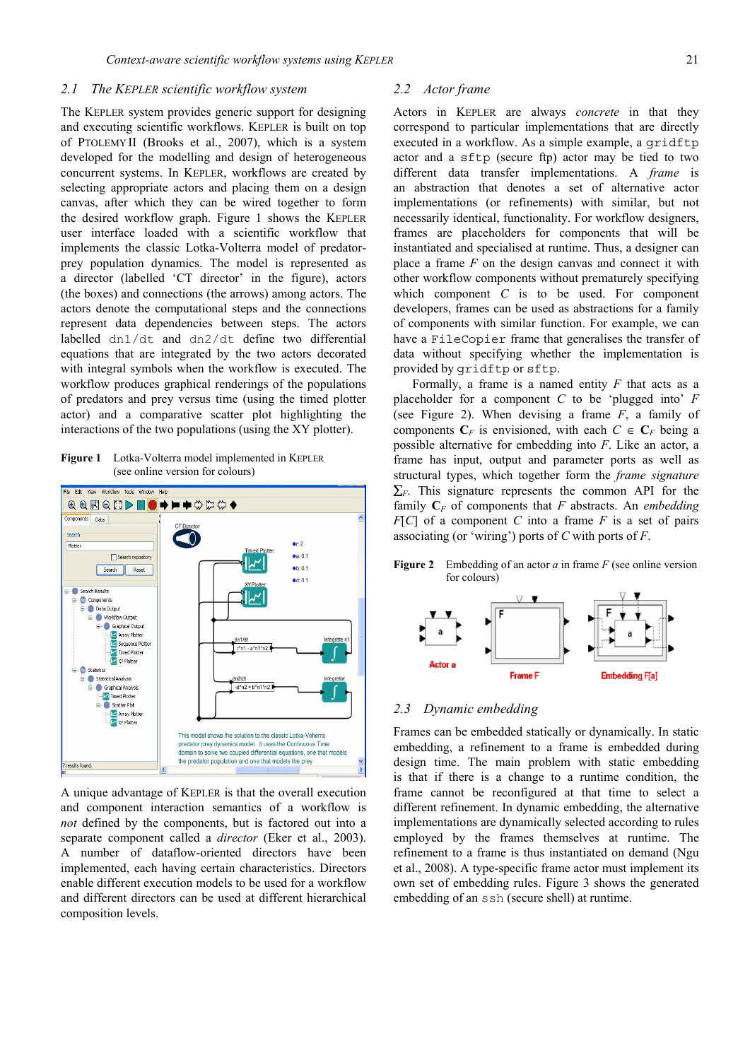## *2.1 The KEPLER scientific workflow system*

The KEPLER system provides generic support for designing and executing scientific workflows. KEPLER is built on top of PTOLEMY II (Brooks et al., 2007), which is a system developed for the modelling and design of heterogeneous concurrent systems. In KEPLER, workflows are created by selecting appropriate actors and placing them on a design canvas, after which they can be wired together to form the desired workflow graph. Figure 1 shows the KEPLER user interface loaded with a scientific workflow that implements the classic Lotka-Volterra model of predatorprey population dynamics. The model is represented as a director (labelled 'CT director' in the figure), actors (the boxes) and connections (the arrows) among actors. The actors denote the computational steps and the connections represent data dependencies between steps. The actors labelled dn1/dt and dn2/dt define two differential equations that are integrated by the two actors decorated with integral symbols when the workflow is executed. The workflow produces graphical renderings of the populations of predators and prey versus time (using the timed plotter actor) and a comparative scatter plot highlighting the interactions of the two populations (using the XY plotter).

**Figure 1** Lotka-Volterra model implemented in KEPLER (see online version for colours)



A unique advantage of KEPLER is that the overall execution and component interaction semantics of a workflow is *not* defined by the components, but is factored out into a separate component called a *director* (Eker et al., 2003). A number of dataflow-oriented directors have been implemented, each having certain characteristics. Directors enable different execution models to be used for a workflow and different directors can be used at different hierarchical composition levels.

# *2.2 Actor frame*

Actors in KEPLER are always *concrete* in that they correspond to particular implementations that are directly executed in a workflow. As a simple example, a gridftp actor and a sftp (secure ftp) actor may be tied to two different data transfer implementations. A *frame* is an abstraction that denotes a set of alternative actor implementations (or refinements) with similar, but not necessarily identical, functionality. For workflow designers, frames are placeholders for components that will be instantiated and specialised at runtime. Thus, a designer can place a frame *F* on the design canvas and connect it with other workflow components without prematurely specifying which component *C* is to be used. For component developers, frames can be used as abstractions for a family of components with similar function. For example, we can have a FileCopier frame that generalises the transfer of data without specifying whether the implementation is provided by gridftp or sftp.

Formally, a frame is a named entity *F* that acts as a placeholder for a component *C* to be 'plugged into' *F* (see Figure 2). When devising a frame *F*, a family of components  $C_F$  is envisioned, with each  $C \in C_F$  being a possible alternative for embedding into *F*. Like an actor, a frame has input, output and parameter ports as well as structural types, which together form the *frame signature*  $\Sigma$ <sub>F</sub>. This signature represents the common API for the family **C***F* of components that *F* abstracts. An *embedding F*[*C*] of a component *C* into a frame *F* is a set of pairs associating (or 'wiring') ports of *C* with ports of *F*.



#### **Figure 2** Embedding of an actor *a* in frame *F* (see online version for colours)

## *2.3 Dynamic embedding*

Frames can be embedded statically or dynamically. In static embedding, a refinement to a frame is embedded during design time. The main problem with static embedding is that if there is a change to a runtime condition, the frame cannot be reconfigured at that time to select a different refinement. In dynamic embedding, the alternative implementations are dynamically selected according to rules employed by the frames themselves at runtime. The refinement to a frame is thus instantiated on demand (Ngu et al., 2008). A type-specific frame actor must implement its own set of embedding rules. Figure 3 shows the generated embedding of an ssh (secure shell) at runtime.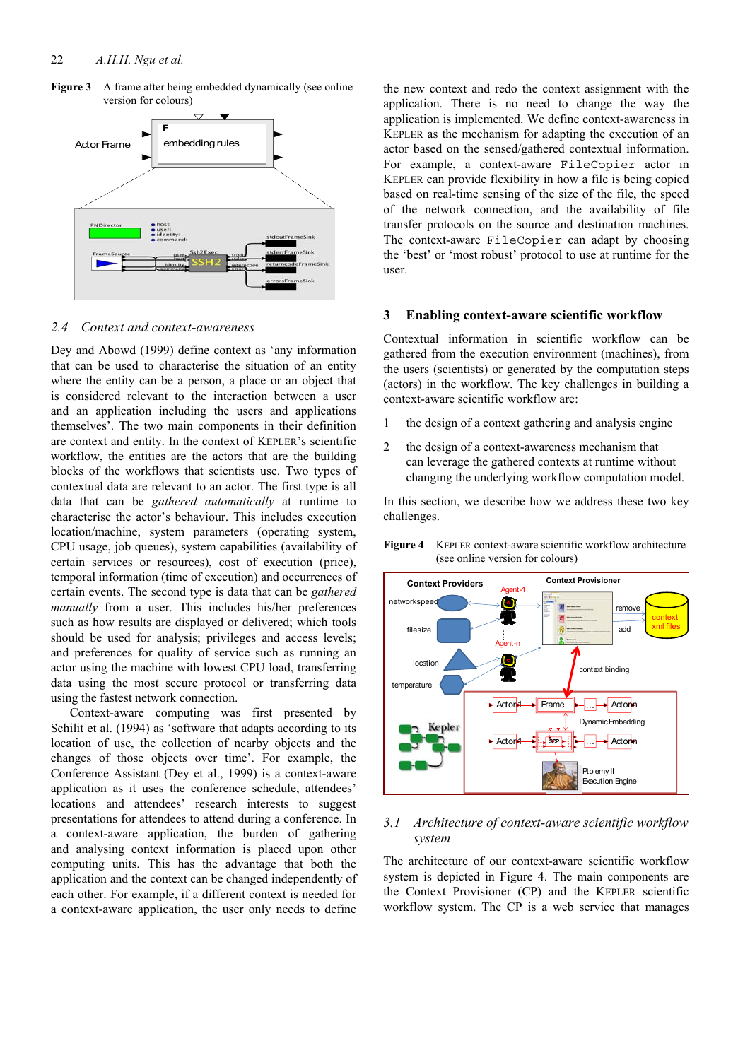

**Figure 3** A frame after being embedded dynamically (see online version for colours)

## *2.4 Context and context-awareness*

Dey and Abowd (1999) define context as 'any information that can be used to characterise the situation of an entity where the entity can be a person, a place or an object that is considered relevant to the interaction between a user and an application including the users and applications themselves'. The two main components in their definition are context and entity. In the context of KEPLER's scientific workflow, the entities are the actors that are the building blocks of the workflows that scientists use. Two types of contextual data are relevant to an actor. The first type is all data that can be *gathered automatically* at runtime to characterise the actor's behaviour. This includes execution location/machine, system parameters (operating system, CPU usage, job queues), system capabilities (availability of certain services or resources), cost of execution (price), temporal information (time of execution) and occurrences of certain events. The second type is data that can be *gathered manually* from a user. This includes his/her preferences such as how results are displayed or delivered; which tools should be used for analysis; privileges and access levels; and preferences for quality of service such as running an actor using the machine with lowest CPU load, transferring data using the most secure protocol or transferring data using the fastest network connection.

Context-aware computing was first presented by Schilit et al. (1994) as 'software that adapts according to its location of use, the collection of nearby objects and the changes of those objects over time'. For example, the Conference Assistant (Dey et al., 1999) is a context-aware application as it uses the conference schedule, attendees' locations and attendees' research interests to suggest presentations for attendees to attend during a conference. In a context-aware application, the burden of gathering and analysing context information is placed upon other computing units. This has the advantage that both the application and the context can be changed independently of each other. For example, if a different context is needed for a context-aware application, the user only needs to define

the new context and redo the context assignment with the application. There is no need to change the way the application is implemented. We define context-awareness in KEPLER as the mechanism for adapting the execution of an actor based on the sensed/gathered contextual information. For example, a context-aware FileCopier actor in KEPLER can provide flexibility in how a file is being copied based on real-time sensing of the size of the file, the speed of the network connection, and the availability of file transfer protocols on the source and destination machines. The context-aware FileCopier can adapt by choosing the 'best' or 'most robust' protocol to use at runtime for the user.

# **3 Enabling context-aware scientific workflow**

Contextual information in scientific workflow can be gathered from the execution environment (machines), from the users (scientists) or generated by the computation steps (actors) in the workflow. The key challenges in building a context-aware scientific workflow are:

- 1 the design of a context gathering and analysis engine
- 2 the design of a context-awareness mechanism that can leverage the gathered contexts at runtime without changing the underlying workflow computation model.

In this section, we describe how we address these two key challenges.





# *3.1 Architecture of context-aware scientific workflow system*

The architecture of our context-aware scientific workflow system is depicted in Figure 4. The main components are the Context Provisioner (CP) and the KEPLER scientific workflow system. The CP is a web service that manages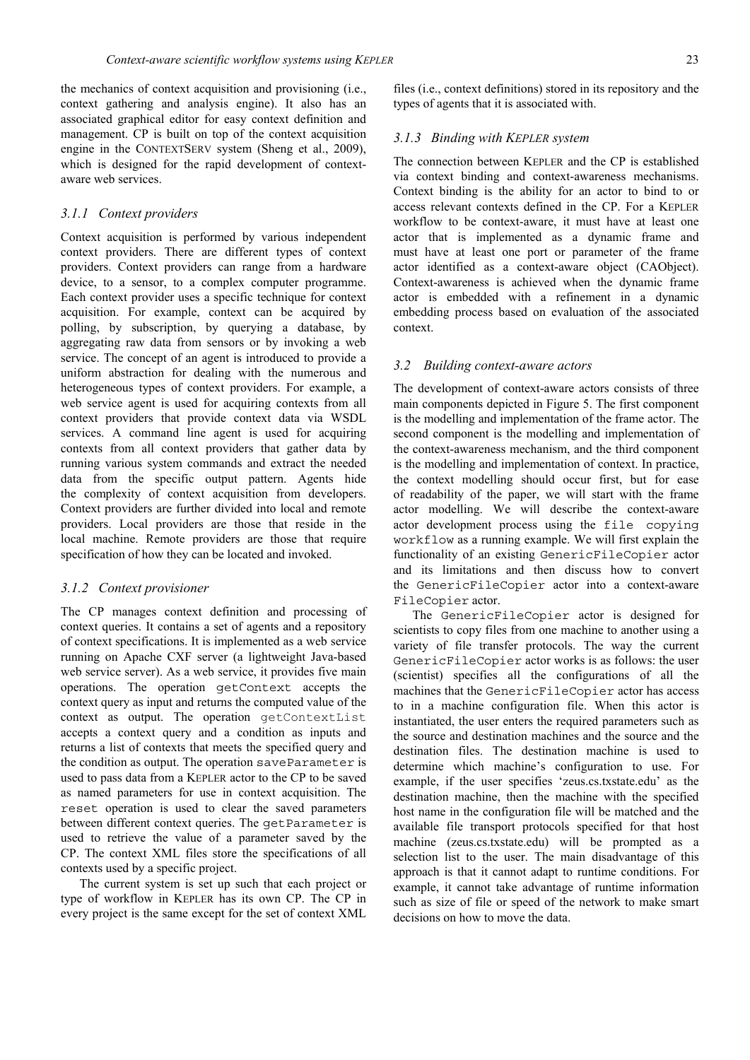the mechanics of context acquisition and provisioning (i.e., context gathering and analysis engine). It also has an associated graphical editor for easy context definition and management. CP is built on top of the context acquisition engine in the CONTEXTSERV system (Sheng et al., 2009), which is designed for the rapid development of contextaware web services.

### *3.1.1 Context providers*

Context acquisition is performed by various independent context providers. There are different types of context providers. Context providers can range from a hardware device, to a sensor, to a complex computer programme. Each context provider uses a specific technique for context acquisition. For example, context can be acquired by polling, by subscription, by querying a database, by aggregating raw data from sensors or by invoking a web service. The concept of an agent is introduced to provide a uniform abstraction for dealing with the numerous and heterogeneous types of context providers. For example, a web service agent is used for acquiring contexts from all context providers that provide context data via WSDL services. A command line agent is used for acquiring contexts from all context providers that gather data by running various system commands and extract the needed data from the specific output pattern. Agents hide the complexity of context acquisition from developers. Context providers are further divided into local and remote providers. Local providers are those that reside in the local machine. Remote providers are those that require specification of how they can be located and invoked.

### *3.1.2 Context provisioner*

The CP manages context definition and processing of context queries. It contains a set of agents and a repository of context specifications. It is implemented as a web service running on Apache CXF server (a lightweight Java-based web service server). As a web service, it provides five main operations. The operation getContext accepts the context query as input and returns the computed value of the context as output. The operation getContextList accepts a context query and a condition as inputs and returns a list of contexts that meets the specified query and the condition as output. The operation saveParameter is used to pass data from a KEPLER actor to the CP to be saved as named parameters for use in context acquisition. The reset operation is used to clear the saved parameters between different context queries. The getParameter is used to retrieve the value of a parameter saved by the CP. The context XML files store the specifications of all contexts used by a specific project.

The current system is set up such that each project or type of workflow in KEPLER has its own CP. The CP in every project is the same except for the set of context XML

files (i.e., context definitions) stored in its repository and the types of agents that it is associated with.

## *3.1.3 Binding with KEPLER system*

The connection between KEPLER and the CP is established via context binding and context-awareness mechanisms. Context binding is the ability for an actor to bind to or access relevant contexts defined in the CP. For a KEPLER workflow to be context-aware, it must have at least one actor that is implemented as a dynamic frame and must have at least one port or parameter of the frame actor identified as a context-aware object (CAObject). Context-awareness is achieved when the dynamic frame actor is embedded with a refinement in a dynamic embedding process based on evaluation of the associated context.

### *3.2 Building context-aware actors*

The development of context-aware actors consists of three main components depicted in Figure 5. The first component is the modelling and implementation of the frame actor. The second component is the modelling and implementation of the context-awareness mechanism, and the third component is the modelling and implementation of context. In practice, the context modelling should occur first, but for ease of readability of the paper, we will start with the frame actor modelling. We will describe the context-aware actor development process using the file copying workflow as a running example. We will first explain the functionality of an existing GenericFileCopier actor and its limitations and then discuss how to convert the GenericFileCopier actor into a context-aware FileCopier actor.

The GenericFileCopier actor is designed for scientists to copy files from one machine to another using a variety of file transfer protocols. The way the current GenericFileCopier actor works is as follows: the user (scientist) specifies all the configurations of all the machines that the GenericFileCopier actor has access to in a machine configuration file. When this actor is instantiated, the user enters the required parameters such as the source and destination machines and the source and the destination files. The destination machine is used to determine which machine's configuration to use. For example, if the user specifies 'zeus.cs.txstate.edu' as the destination machine, then the machine with the specified host name in the configuration file will be matched and the available file transport protocols specified for that host machine (zeus.cs.txstate.edu) will be prompted as a selection list to the user. The main disadvantage of this approach is that it cannot adapt to runtime conditions. For example, it cannot take advantage of runtime information such as size of file or speed of the network to make smart decisions on how to move the data.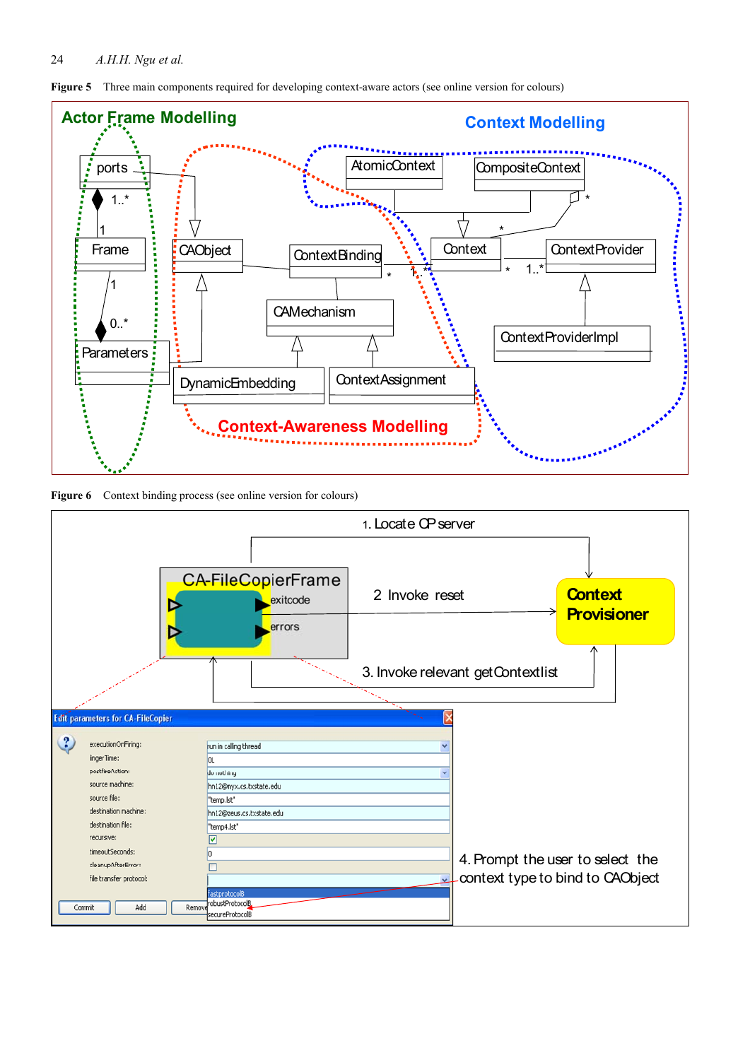

**Figure 5** Three main components required for developing context-aware actors (see online version for colours)

Figure 6 Context binding process (see online version for colours)

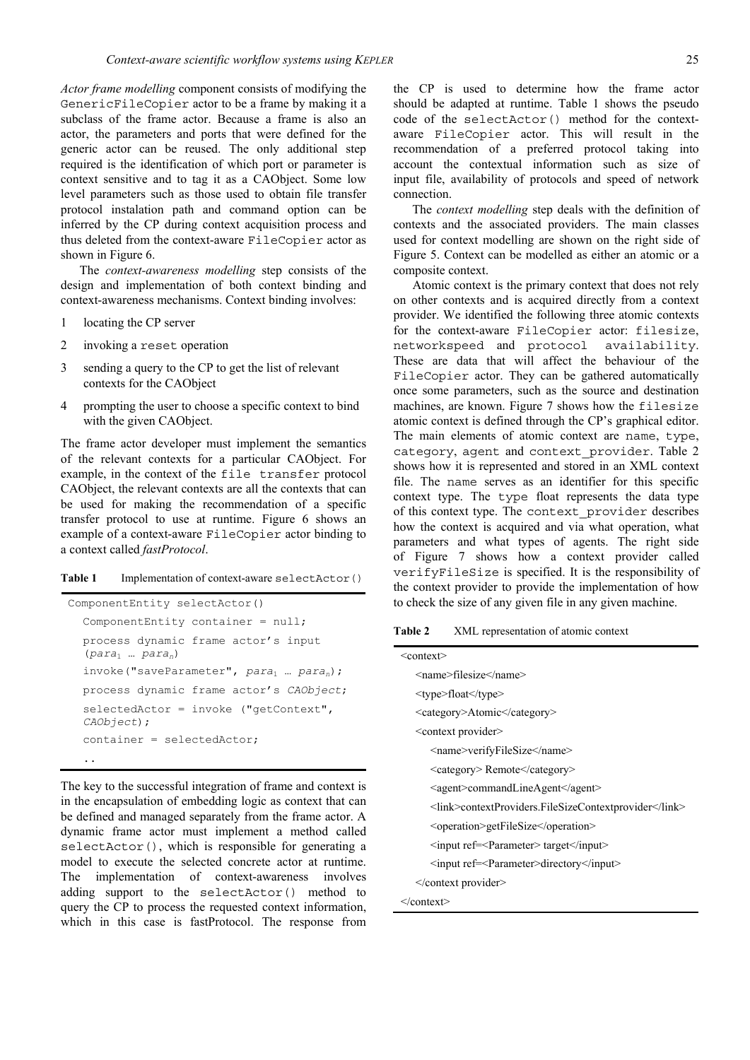*Actor frame modelling* component consists of modifying the GenericFileCopier actor to be a frame by making it a subclass of the frame actor. Because a frame is also an actor, the parameters and ports that were defined for the generic actor can be reused. The only additional step required is the identification of which port or parameter is context sensitive and to tag it as a CAObject. Some low level parameters such as those used to obtain file transfer protocol instalation path and command option can be inferred by the CP during context acquisition process and thus deleted from the context-aware FileCopier actor as shown in Figure 6.

The *context-awareness modelling* step consists of the design and implementation of both context binding and context-awareness mechanisms. Context binding involves:

- 1 locating the CP server
- 2 invoking a reset operation
- 3 sending a query to the CP to get the list of relevant contexts for the CAObject
- 4 prompting the user to choose a specific context to bind with the given CAObject.

The frame actor developer must implement the semantics of the relevant contexts for a particular CAObject. For example, in the context of the file transfer protocol CAObject, the relevant contexts are all the contexts that can be used for making the recommendation of a specific transfer protocol to use at runtime. Figure 6 shows an example of a context-aware FileCopier actor binding to a context called *fastProtocol*.

| <b>Table 1</b><br>Implementation of context-aware selectActor () |  |  |  |
|------------------------------------------------------------------|--|--|--|
|------------------------------------------------------------------|--|--|--|

```
ComponentEntity selectActor() 
   ComponentEntity container = null; 
   process dynamic frame actor's input 
  (para1 … paran) 
  invoke("saveParameter", para<sub>1</sub> ... para<sub>n</sub>);
   process dynamic frame actor's CAObject; 
   selectedActor = invoke ("getContext", 
  CAObject); 
   container = selectedActor; 
 ..
```
The key to the successful integration of frame and context is in the encapsulation of embedding logic as context that can be defined and managed separately from the frame actor. A dynamic frame actor must implement a method called selectActor(), which is responsible for generating a model to execute the selected concrete actor at runtime. The implementation of context-awareness involves adding support to the selectActor() method to query the CP to process the requested context information, which in this case is fastProtocol. The response from

the CP is used to determine how the frame actor should be adapted at runtime. Table 1 shows the pseudo code of the selectActor() method for the contextaware FileCopier actor. This will result in the recommendation of a preferred protocol taking into account the contextual information such as size of input file, availability of protocols and speed of network connection.

The *context modelling* step deals with the definition of contexts and the associated providers. The main classes used for context modelling are shown on the right side of Figure 5. Context can be modelled as either an atomic or a composite context.

Atomic context is the primary context that does not rely on other contexts and is acquired directly from a context provider. We identified the following three atomic contexts for the context-aware FileCopier actor: filesize, networkspeed and protocol availability. These are data that will affect the behaviour of the FileCopier actor. They can be gathered automatically once some parameters, such as the source and destination machines, are known. Figure 7 shows how the filesize atomic context is defined through the CP's graphical editor. The main elements of atomic context are name, type, category, agent and context\_provider. Table 2 shows how it is represented and stored in an XML context file. The name serves as an identifier for this specific context type. The type float represents the data type of this context type. The context\_provider describes how the context is acquired and via what operation, what parameters and what types of agents. The right side of Figure 7 shows how a context provider called verifyFileSize is specified. It is the responsibility of the context provider to provide the implementation of how to check the size of any given file in any given machine.

**Table 2** XML representation of atomic context

| $<$ context $>$                                  |
|--------------------------------------------------|
| <name>filesize</name>                            |
| <type>float</type>                               |
| <category>Atomic</category>                      |
| <context provider=""></context>                  |
| <name>verifyFileSize</name>                      |
| <category> Remote</category>                     |
| <agent>commandLineAgent</agent>                  |
| <link/> contextProviders.FileSizeContextprovider |
| <operation>getFileSize</operation>               |
| <input ref="&lt;Parameter"/> target              |
| <input ref="&lt;Parameter"/> directory           |
| $\le$ /context provider>                         |
| $\le$ /context>                                  |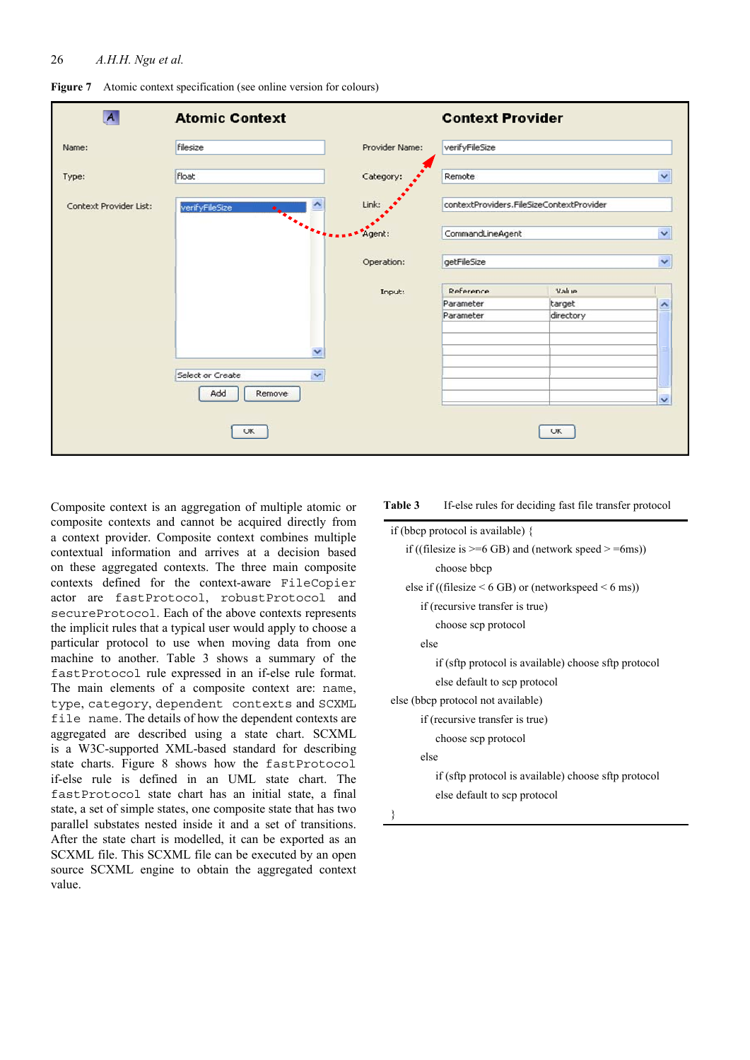Figure 7 Atomic context specification (see online version for colours)



Composite context is an aggregation of multiple atomic or composite contexts and cannot be acquired directly from a context provider. Composite context combines multiple contextual information and arrives at a decision based on these aggregated contexts. The three main composite contexts defined for the context-aware FileCopier actor are fastProtocol, robustProtocol and secureProtocol. Each of the above contexts represents the implicit rules that a typical user would apply to choose a particular protocol to use when moving data from one machine to another. Table 3 shows a summary of the fastProtocol rule expressed in an if-else rule format. The main elements of a composite context are: name, type, category, dependent contexts and SCXML file name. The details of how the dependent contexts are aggregated are described using a state chart. SCXML is a W3C-supported XML-based standard for describing state charts. Figure 8 shows how the fastProtocol if-else rule is defined in an UML state chart. The fastProtocol state chart has an initial state, a final state, a set of simple states, one composite state that has two parallel substates nested inside it and a set of transitions. After the state chart is modelled, it can be exported as an SCXML file. This SCXML file can be executed by an open source SCXML engine to obtain the aggregated context value.

**Table 3** If-else rules for deciding fast file transfer protocol

```
if (bbcp protocol is available) { 
   if ((filesize is >=6 GB) and (network speed > =6ms))
           choose bbcp 
   else if ((filesize \leq 6 GB) or (networkspeed \leq 6 ms))
        if (recursive transfer is true) 
           choose scp protocol 
        else 
           if (sftp protocol is available) choose sftp protocol 
           else default to scp protocol 
else (bbcp protocol not available) 
        if (recursive transfer is true) 
           choose scp protocol 
        else 
           if (sftp protocol is available) choose sftp protocol 
           else default to scp protocol 
}
```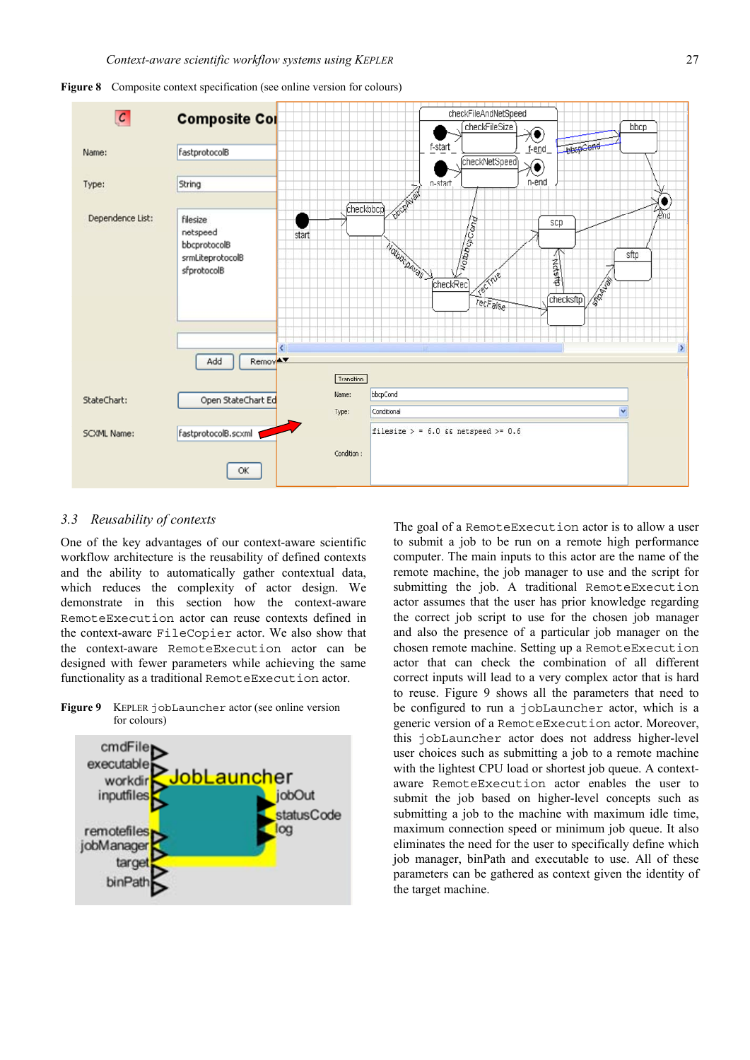

**Figure 8** Composite context specification (see online version for colours)

### *3.3 Reusability of contexts*

One of the key advantages of our context-aware scientific workflow architecture is the reusability of defined contexts and the ability to automatically gather contextual data, which reduces the complexity of actor design. We demonstrate in this section how the context-aware RemoteExecution actor can reuse contexts defined in the context-aware FileCopier actor. We also show that the context-aware RemoteExecution actor can be designed with fewer parameters while achieving the same functionality as a traditional RemoteExecution actor.





The goal of a RemoteExecution actor is to allow a user to submit a job to be run on a remote high performance computer. The main inputs to this actor are the name of the remote machine, the job manager to use and the script for submitting the job. A traditional RemoteExecution actor assumes that the user has prior knowledge regarding the correct job script to use for the chosen job manager and also the presence of a particular job manager on the chosen remote machine. Setting up a RemoteExecution actor that can check the combination of all different correct inputs will lead to a very complex actor that is hard to reuse. Figure 9 shows all the parameters that need to be configured to run a jobLauncher actor, which is a generic version of a RemoteExecution actor. Moreover, this jobLauncher actor does not address higher-level user choices such as submitting a job to a remote machine with the lightest CPU load or shortest job queue. A contextaware RemoteExecution actor enables the user to submit the job based on higher-level concepts such as submitting a job to the machine with maximum idle time, maximum connection speed or minimum job queue. It also eliminates the need for the user to specifically define which job manager, binPath and executable to use. All of these parameters can be gathered as context given the identity of the target machine.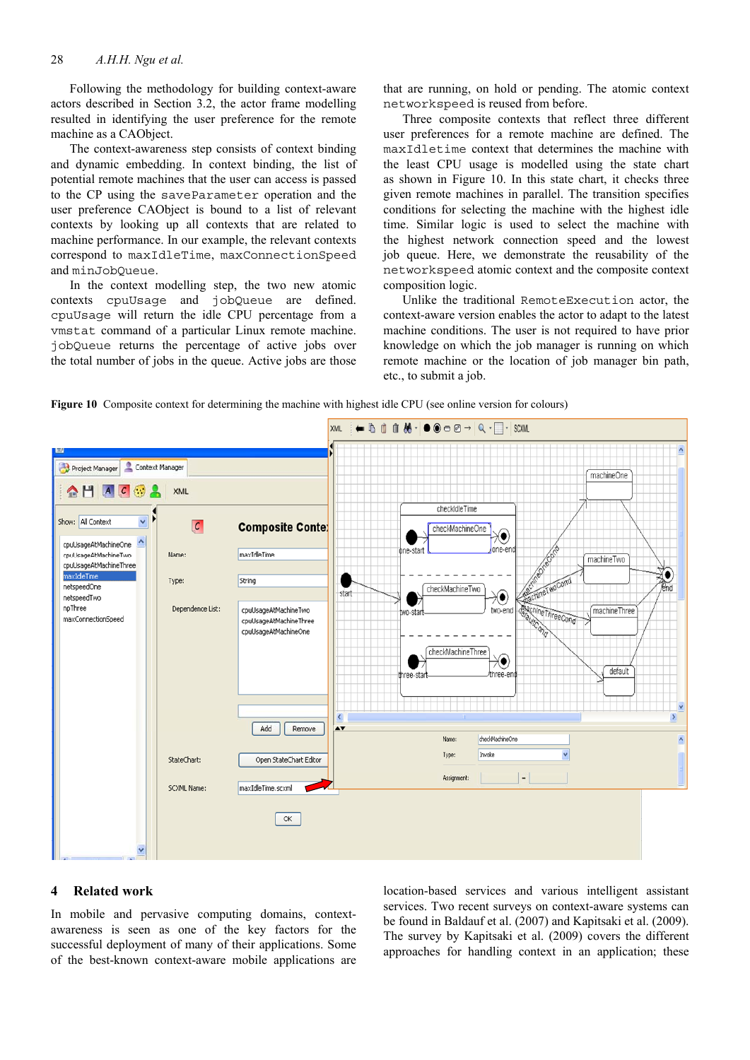Following the methodology for building context-aware actors described in Section 3.2, the actor frame modelling resulted in identifying the user preference for the remote machine as a CAObject.

The context-awareness step consists of context binding and dynamic embedding. In context binding, the list of potential remote machines that the user can access is passed to the CP using the saveParameter operation and the user preference CAObject is bound to a list of relevant contexts by looking up all contexts that are related to machine performance. In our example, the relevant contexts correspond to maxIdleTime, maxConnectionSpeed and minJobQueue.

In the context modelling step, the two new atomic contexts cpuUsage and jobQueue are defined. cpuUsage will return the idle CPU percentage from a vmstat command of a particular Linux remote machine. jobQueue returns the percentage of active jobs over the total number of jobs in the queue. Active jobs are those that are running, on hold or pending. The atomic context networkspeed is reused from before.

Three composite contexts that reflect three different user preferences for a remote machine are defined. The maxIdletime context that determines the machine with the least CPU usage is modelled using the state chart as shown in Figure 10. In this state chart, it checks three given remote machines in parallel. The transition specifies conditions for selecting the machine with the highest idle time. Similar logic is used to select the machine with the highest network connection speed and the lowest job queue. Here, we demonstrate the reusability of the networkspeed atomic context and the composite context composition logic.

Unlike the traditional RemoteExecution actor, the context-aware version enables the actor to adapt to the latest machine conditions. The user is not required to have prior knowledge on which the job manager is running on which remote machine or the location of job manager bin path, etc., to submit a job.

**Figure 10** Composite context for determining the machine with highest idle CPU (see online version for colours)



# **4 Related work**

In mobile and pervasive computing domains, contextawareness is seen as one of the key factors for the successful deployment of many of their applications. Some of the best-known context-aware mobile applications are location-based services and various intelligent assistant services. Two recent surveys on context-aware systems can be found in Baldauf et al. (2007) and Kapitsaki et al. (2009). The survey by Kapitsaki et al. (2009) covers the different approaches for handling context in an application; these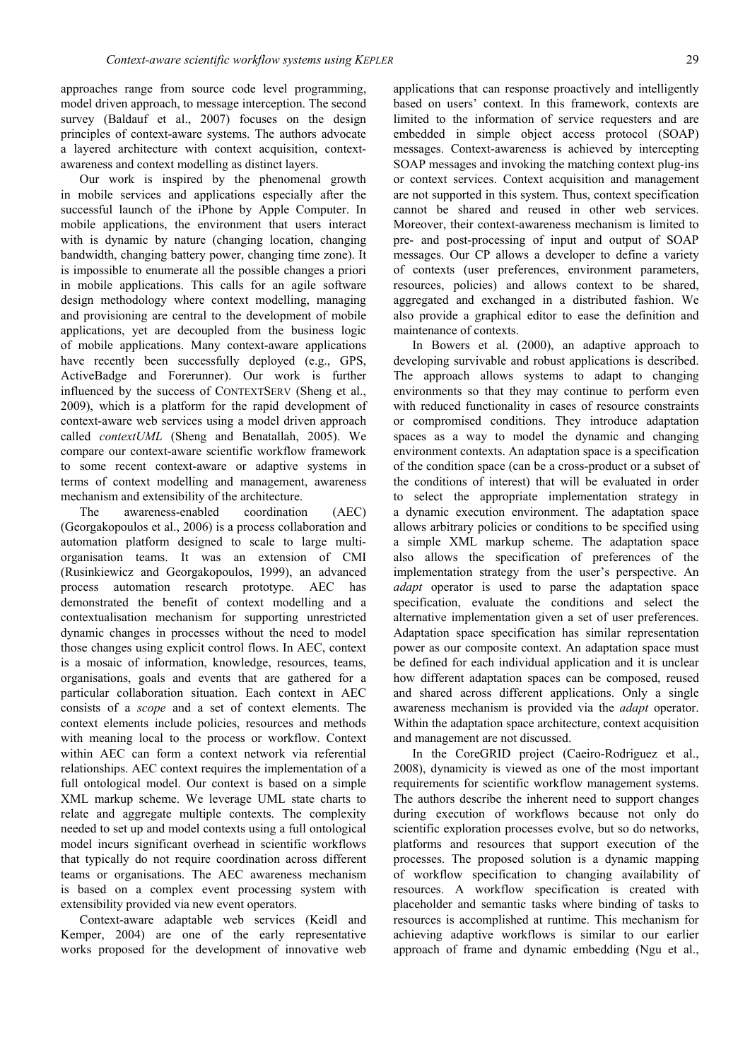approaches range from source code level programming, model driven approach, to message interception. The second survey (Baldauf et al., 2007) focuses on the design principles of context-aware systems. The authors advocate a layered architecture with context acquisition, contextawareness and context modelling as distinct layers.

Our work is inspired by the phenomenal growth in mobile services and applications especially after the successful launch of the iPhone by Apple Computer. In mobile applications, the environment that users interact with is dynamic by nature (changing location, changing bandwidth, changing battery power, changing time zone). It is impossible to enumerate all the possible changes a priori in mobile applications. This calls for an agile software design methodology where context modelling, managing and provisioning are central to the development of mobile applications, yet are decoupled from the business logic of mobile applications. Many context-aware applications have recently been successfully deployed (e.g., GPS, ActiveBadge and Forerunner). Our work is further influenced by the success of CONTEXTSERV (Sheng et al., 2009), which is a platform for the rapid development of context-aware web services using a model driven approach called *contextUML* (Sheng and Benatallah, 2005). We compare our context-aware scientific workflow framework to some recent context-aware or adaptive systems in terms of context modelling and management, awareness mechanism and extensibility of the architecture.

The awareness-enabled coordination (AEC) (Georgakopoulos et al., 2006) is a process collaboration and automation platform designed to scale to large multiorganisation teams. It was an extension of CMI (Rusinkiewicz and Georgakopoulos, 1999), an advanced process automation research prototype. AEC has demonstrated the benefit of context modelling and a contextualisation mechanism for supporting unrestricted dynamic changes in processes without the need to model those changes using explicit control flows. In AEC, context is a mosaic of information, knowledge, resources, teams, organisations, goals and events that are gathered for a particular collaboration situation. Each context in AEC consists of a *scope* and a set of context elements. The context elements include policies, resources and methods with meaning local to the process or workflow. Context within AEC can form a context network via referential relationships. AEC context requires the implementation of a full ontological model. Our context is based on a simple XML markup scheme. We leverage UML state charts to relate and aggregate multiple contexts. The complexity needed to set up and model contexts using a full ontological model incurs significant overhead in scientific workflows that typically do not require coordination across different teams or organisations. The AEC awareness mechanism is based on a complex event processing system with extensibility provided via new event operators.

Context-aware adaptable web services (Keidl and Kemper, 2004) are one of the early representative works proposed for the development of innovative web

applications that can response proactively and intelligently based on users' context. In this framework, contexts are limited to the information of service requesters and are embedded in simple object access protocol (SOAP) messages. Context-awareness is achieved by intercepting SOAP messages and invoking the matching context plug-ins or context services. Context acquisition and management are not supported in this system. Thus, context specification cannot be shared and reused in other web services. Moreover, their context-awareness mechanism is limited to pre- and post-processing of input and output of SOAP messages. Our CP allows a developer to define a variety of contexts (user preferences, environment parameters, resources, policies) and allows context to be shared, aggregated and exchanged in a distributed fashion. We also provide a graphical editor to ease the definition and maintenance of contexts.

In Bowers et al. (2000), an adaptive approach to developing survivable and robust applications is described. The approach allows systems to adapt to changing environments so that they may continue to perform even with reduced functionality in cases of resource constraints or compromised conditions. They introduce adaptation spaces as a way to model the dynamic and changing environment contexts. An adaptation space is a specification of the condition space (can be a cross-product or a subset of the conditions of interest) that will be evaluated in order to select the appropriate implementation strategy in a dynamic execution environment. The adaptation space allows arbitrary policies or conditions to be specified using a simple XML markup scheme. The adaptation space also allows the specification of preferences of the implementation strategy from the user's perspective. An *adapt* operator is used to parse the adaptation space specification, evaluate the conditions and select the alternative implementation given a set of user preferences. Adaptation space specification has similar representation power as our composite context. An adaptation space must be defined for each individual application and it is unclear how different adaptation spaces can be composed, reused and shared across different applications. Only a single awareness mechanism is provided via the *adapt* operator. Within the adaptation space architecture, context acquisition and management are not discussed.

In the CoreGRID project (Caeiro-Rodriguez et al., 2008), dynamicity is viewed as one of the most important requirements for scientific workflow management systems. The authors describe the inherent need to support changes during execution of workflows because not only do scientific exploration processes evolve, but so do networks, platforms and resources that support execution of the processes. The proposed solution is a dynamic mapping of workflow specification to changing availability of resources. A workflow specification is created with placeholder and semantic tasks where binding of tasks to resources is accomplished at runtime. This mechanism for achieving adaptive workflows is similar to our earlier approach of frame and dynamic embedding (Ngu et al.,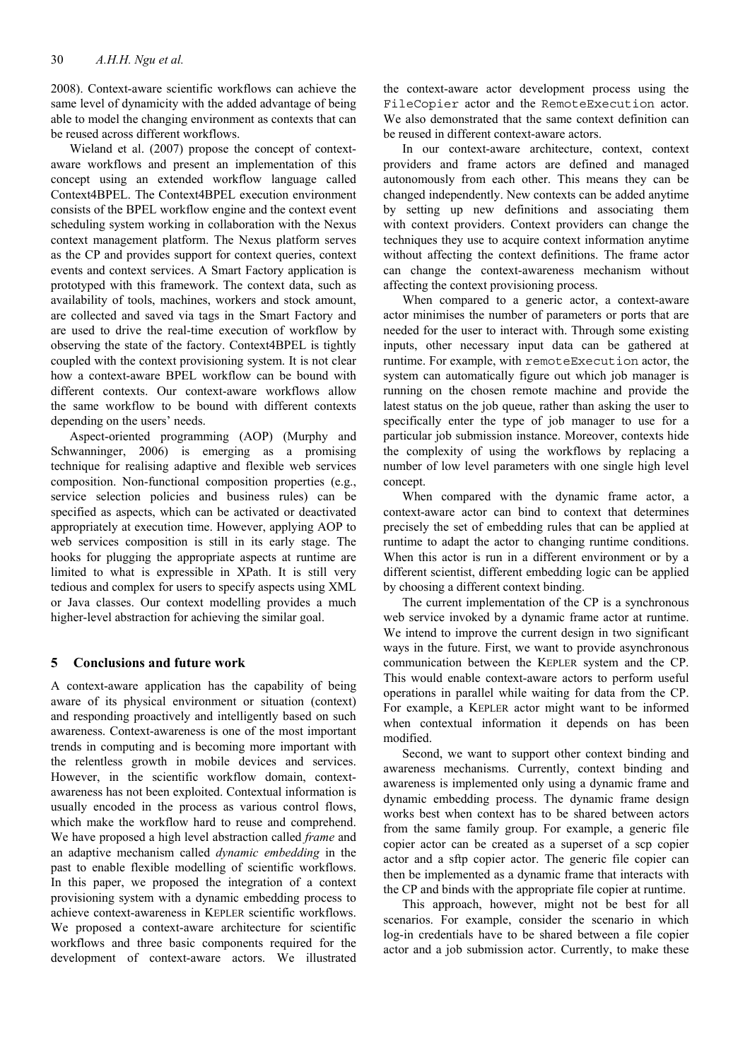2008). Context-aware scientific workflows can achieve the same level of dynamicity with the added advantage of being able to model the changing environment as contexts that can be reused across different workflows.

Wieland et al. (2007) propose the concept of contextaware workflows and present an implementation of this concept using an extended workflow language called Context4BPEL. The Context4BPEL execution environment consists of the BPEL workflow engine and the context event scheduling system working in collaboration with the Nexus context management platform. The Nexus platform serves as the CP and provides support for context queries, context events and context services. A Smart Factory application is prototyped with this framework. The context data, such as availability of tools, machines, workers and stock amount, are collected and saved via tags in the Smart Factory and are used to drive the real-time execution of workflow by observing the state of the factory. Context4BPEL is tightly coupled with the context provisioning system. It is not clear how a context-aware BPEL workflow can be bound with different contexts. Our context-aware workflows allow the same workflow to be bound with different contexts depending on the users' needs.

Aspect-oriented programming (AOP) (Murphy and Schwanninger, 2006) is emerging as a promising technique for realising adaptive and flexible web services composition. Non-functional composition properties (e.g., service selection policies and business rules) can be specified as aspects, which can be activated or deactivated appropriately at execution time. However, applying AOP to web services composition is still in its early stage. The hooks for plugging the appropriate aspects at runtime are limited to what is expressible in XPath. It is still very tedious and complex for users to specify aspects using XML or Java classes. Our context modelling provides a much higher-level abstraction for achieving the similar goal.

# **5 Conclusions and future work**

A context-aware application has the capability of being aware of its physical environment or situation (context) and responding proactively and intelligently based on such awareness. Context-awareness is one of the most important trends in computing and is becoming more important with the relentless growth in mobile devices and services. However, in the scientific workflow domain, contextawareness has not been exploited. Contextual information is usually encoded in the process as various control flows, which make the workflow hard to reuse and comprehend. We have proposed a high level abstraction called *frame* and an adaptive mechanism called *dynamic embedding* in the past to enable flexible modelling of scientific workflows. In this paper, we proposed the integration of a context provisioning system with a dynamic embedding process to achieve context-awareness in KEPLER scientific workflows. We proposed a context-aware architecture for scientific workflows and three basic components required for the development of context-aware actors. We illustrated the context-aware actor development process using the FileCopier actor and the RemoteExecution actor. We also demonstrated that the same context definition can be reused in different context-aware actors.

In our context-aware architecture, context, context providers and frame actors are defined and managed autonomously from each other. This means they can be changed independently. New contexts can be added anytime by setting up new definitions and associating them with context providers. Context providers can change the techniques they use to acquire context information anytime without affecting the context definitions. The frame actor can change the context-awareness mechanism without affecting the context provisioning process.

When compared to a generic actor, a context-aware actor minimises the number of parameters or ports that are needed for the user to interact with. Through some existing inputs, other necessary input data can be gathered at runtime. For example, with remoteExecution actor, the system can automatically figure out which job manager is running on the chosen remote machine and provide the latest status on the job queue, rather than asking the user to specifically enter the type of job manager to use for a particular job submission instance. Moreover, contexts hide the complexity of using the workflows by replacing a number of low level parameters with one single high level concept.

When compared with the dynamic frame actor, a context-aware actor can bind to context that determines precisely the set of embedding rules that can be applied at runtime to adapt the actor to changing runtime conditions. When this actor is run in a different environment or by a different scientist, different embedding logic can be applied by choosing a different context binding.

The current implementation of the CP is a synchronous web service invoked by a dynamic frame actor at runtime. We intend to improve the current design in two significant ways in the future. First, we want to provide asynchronous communication between the KEPLER system and the CP. This would enable context-aware actors to perform useful operations in parallel while waiting for data from the CP. For example, a KEPLER actor might want to be informed when contextual information it depends on has been modified.

Second, we want to support other context binding and awareness mechanisms. Currently, context binding and awareness is implemented only using a dynamic frame and dynamic embedding process. The dynamic frame design works best when context has to be shared between actors from the same family group. For example, a generic file copier actor can be created as a superset of a scp copier actor and a sftp copier actor. The generic file copier can then be implemented as a dynamic frame that interacts with the CP and binds with the appropriate file copier at runtime.

This approach, however, might not be best for all scenarios. For example, consider the scenario in which log-in credentials have to be shared between a file copier actor and a job submission actor. Currently, to make these